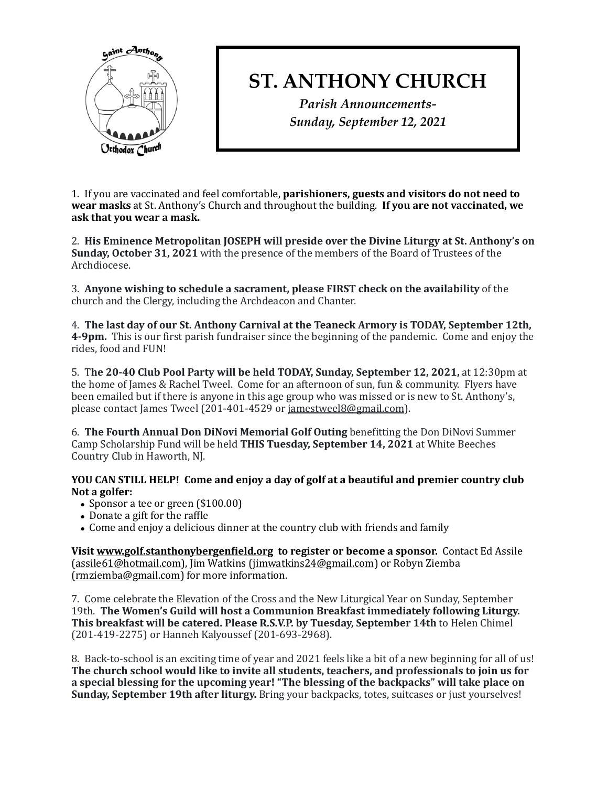

## **ST. ANTHONY CHURCH**

*Parish Announcements-Sunday, September 12, 2021*

1. If you are vaccinated and feel comfortable, **parishioners, guests and visitors do not need to wear masks** at St. Anthony's Church and throughout the building. If you are not vaccinated, we ask that you wear a mask.

2. His Eminence Metropolitan JOSEPH will preside over the Divine Liturgy at St. Anthony's on **Sunday, October 31, 2021** with the presence of the members of the Board of Trustees of the Archdiocese. 

3. Anyone wishing to schedule a sacrament, please FIRST check on the availability of the church and the Clergy, including the Archdeacon and Chanter.

4. The last day of our St. Anthony Carnival at the Teaneck Armory is TODAY, September 12th, **4-9pm.** This is our first parish fundraiser since the beginning of the pandemic. Come and enjoy the rides, food and FUN!

5. The 20-40 Club Pool Party will be held TODAY, Sunday, September 12, 2021, at 12:30pm at the home of James & Rachel Tweel. Come for an afternoon of sun, fun & community. Flyers have been emailed but if there is anyone in this age group who was missed or is new to St. Anthony's, please contact James Tweel (201-401-4529 or jamestweel8@gmail.com).

6. **The Fourth Annual Don DiNovi Memorial Golf Outing** benefitting the Don DiNovi Summer Camp Scholarship Fund will be held **THIS Tuesday, September 14, 2021** at White Beeches Country Club in Haworth, NJ.

## **YOU CAN STILL HELP! Come and enjoy a day of golf at a beautiful and premier country club** Not a golfer:

- Sponsor a tee or green  $(\$100.00)$
- $\bullet$  Donate a gift for the raffle
- Come and enjoy a delicious dinner at the country club with friends and family

**Visit www.golf.stanthonybergenfield.org** to register or become a sponsor. Contact Ed Assile [\(assile61@hotmail.com\)](mailto:assile61@hotmail.com), Jim Watkins ([jimwatkins24@gmail.com](mailto:jimwatkins24@gmail.com)) or Robyn Ziemba [\(rmziemba@gmail.com\)](mailto:rmziemba@gmail.com) for more information.

7. Come celebrate the Elevation of the Cross and the New Liturgical Year on Sunday, September 19th. The Women's Guild will host a Communion Breakfast immediately following Liturgy. This breakfast will be catered. Please R.S.V.P. by Tuesday, September 14th to Helen Chimel (201-419-2275) or Hanneh Kalyoussef (201-693-2968).

8. Back-to-school is an exciting time of year and 2021 feels like a bit of a new beginning for all of us! The church school would like to invite all students, teachers, and professionals to join us for a special blessing for the upcoming year! "The blessing of the backpacks" will take place on **Sunday, September 19th after liturgy.** Bring your backpacks, totes, suitcases or just yourselves!